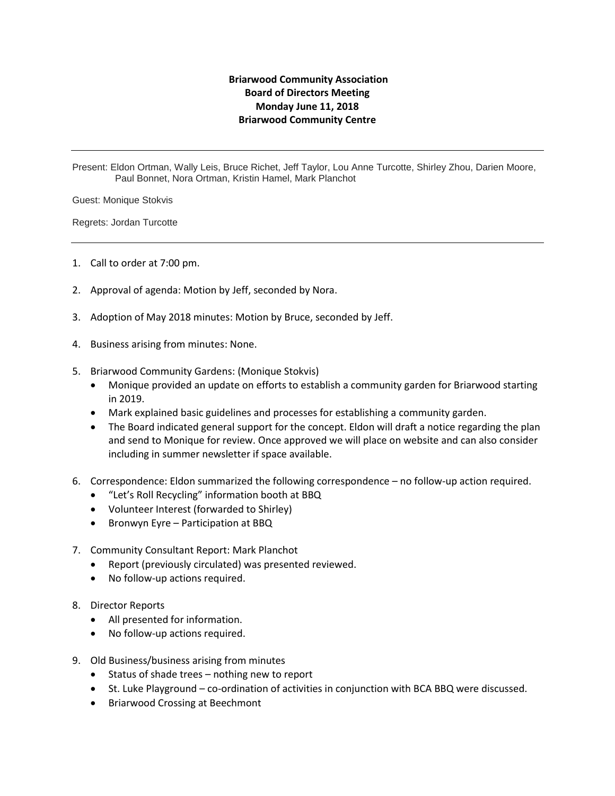## **Briarwood Community Association Board of Directors Meeting Monday June 11, 2018 Briarwood Community Centre**

Present: Eldon Ortman, Wally Leis, Bruce Richet, Jeff Taylor, Lou Anne Turcotte, Shirley Zhou, Darien Moore, Paul Bonnet, Nora Ortman, Kristin Hamel, Mark Planchot

Guest: Monique Stokvis

Regrets: Jordan Turcotte

- 1. Call to order at 7:00 pm.
- 2. Approval of agenda: Motion by Jeff, seconded by Nora.
- 3. Adoption of May 2018 minutes: Motion by Bruce, seconded by Jeff.
- 4. Business arising from minutes: None.
- 5. Briarwood Community Gardens: (Monique Stokvis)
	- Monique provided an update on efforts to establish a community garden for Briarwood starting in 2019.
	- Mark explained basic guidelines and processes for establishing a community garden.
	- The Board indicated general support for the concept. Eldon will draft a notice regarding the plan and send to Monique for review. Once approved we will place on website and can also consider including in summer newsletter if space available.
- 6. Correspondence: Eldon summarized the following correspondence no follow-up action required.
	- "Let's Roll Recycling" information booth at BBQ
	- Volunteer Interest (forwarded to Shirley)
	- Bronwyn Eyre Participation at BBQ
- 7. Community Consultant Report: Mark Planchot
	- Report (previously circulated) was presented reviewed.
	- No follow-up actions required.
- 8. Director Reports
	- All presented for information.
	- No follow-up actions required.
- 9. Old Business/business arising from minutes
	- Status of shade trees nothing new to report
	- St. Luke Playground co-ordination of activities in conjunction with BCA BBQ were discussed.
	- Briarwood Crossing at Beechmont